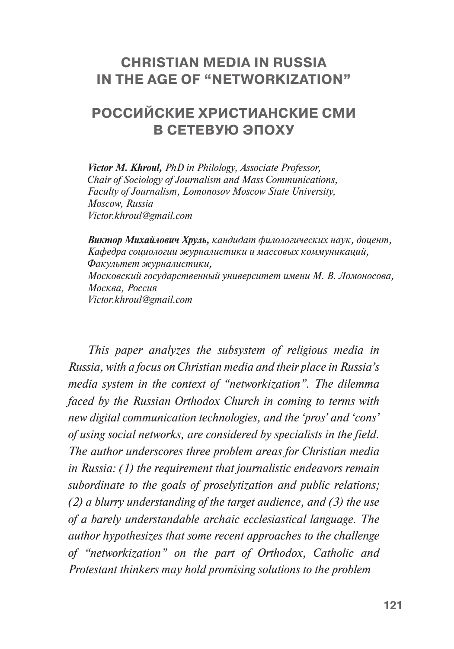### **CHRISTIAN MEDIA IN RUSSIA IN THE AGE OF "NETWORKIZATION"**

# **РОССИЙСКИЕ ХРИСТИАНСКИЕ СМИ В СЕТЕВУЮ ЭПОХУ**

*Victor M. Khroul, PhD in Philology, Associate Professor, Chair of Sociology of Journalism and Mass Communications, Faculty of Journalism, Lomonosov Moscow State University, Moscow, Russia Victor.khroul@gmail.com*

*Виктор Михайлович Хруль, кандидат филологических наук, доцент, Кафедра социологии журналистики и массовых коммуникаций, Факультет журналистики, Московский государственный университет имени М. В. Ломоносова, Москва, Россия Victor.khroul@gmail.com*

*This paper analyzes the subsystem of religious media in Russia, with a focus on Christian media and their place in Russia's media system in the context of "networkization". The dilemma faced by the Russian Orthodox Church in coming to terms with new digital communication technologies, and the 'pros' and 'cons' of using social networks, are considered by specialists in the field. The author underscores three problem areas for Christian media in Russia: (1) the requirement that journalistic endeavors remain subordinate to the goals of proselytization and public relations; (2) a blurry understanding of the target audience, and (3) the use of a barely understandable archaic ecclesiastical language. The author hypothesizes that some recent approaches to the challenge of "networkization" on the part of Orthodox, Catholic and Protestant thinkers may hold promising solutions to the problem*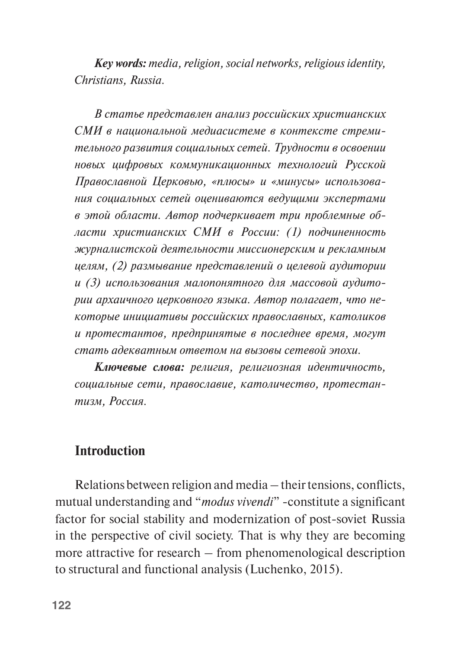*Key words: media, religion, social networks, religious identity, Christians, Russia.*

*В статье представлен анализ российских христианских СМИ в национальной медиасистеме в контексте стремительного развития социальных сетей. Трудности в освоении новых цифровых коммуникационных технологий Русской Православной Церковью, «плюсы» и «минусы» использования социальных сетей оцениваются ведущими экспертами в этой области. Автор подчеркивает три проблемные области христианских СМИ в России: (1) подчиненность журналистской деятельности миссионерским и рекламным целям, (2) размывание представлений о целевой аудитории и (3) использования малопонятного для массовой аудитории архаичного церковного языка. Автор полагает, что некоторые инициативы российских православных, католиков и протестантов, предпринятые в последнее время, могут стать адекватным ответом на вызовы сетевой эпохи.*

*Ключевые слова: религия, религиозная идентичность, социальные сети, православие, католичество, протестантизм, Россия.*

#### **Introduction**

Relations between religion and media – their tensions, conflicts, mutual understanding and "*modus vivendi*" -constitute a significant factor for social stability and modernization of post-soviet Russia in the perspective of civil society. That is why they are becoming more attractive for research – from phenomenological description to structural and functional analysis (Luchenko, 2015).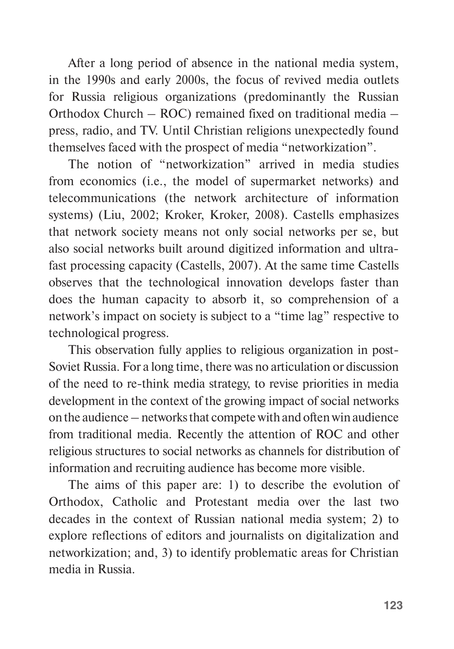After a long period of absence in the national media system, in the 1990s and early 2000s, the focus of revived media outlets for Russia religious organizations (predominantly the Russian Orthodox Church – ROC) remained fixed on traditional media – press, radio, and TV. Until Christian religions unexpectedly found themselves faced with the prospect of media "networkization".

The notion of "networkization" arrived in media studies from economics (i.e., the model of supermarket networks) and telecommunications (the network architecture of information systems) (Liu, 2002; Kroker, Kroker, 2008). Castells emphasizes that network society means not only social networks per se, but also social networks built around digitized information and ultrafast processing capacity (Castells, 2007). At the same time Castells observes that the technological innovation develops faster than does the human capacity to absorb it, so comprehension of a network's impact on society is subject to a "time lag" respective to technological progress.

This observation fully applies to religious organization in post-Soviet Russia. For a long time, there was no articulation or discussion of the need to re-think media strategy, to revise priorities in media development in the context of the growing impact of social networks on the audience – networks that compete with and often win audience from traditional media. Recently the attention of ROC and other religious structures to social networks as channels for distribution of information and recruiting audience has become more visible.

The aims of this paper are: 1) to describe the evolution of Orthodox, Catholic and Protestant media over the last two decades in the context of Russian national media system; 2) to explore reflections of editors and journalists on digitalization and networkization; and, 3) to identify problematic areas for Christian media in Russia.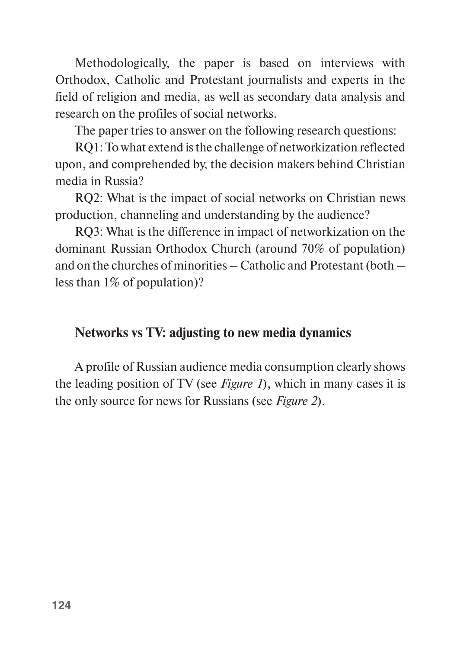Methodologically, the paper is based on interviews with Orthodox, Catholic and Protestant journalists and experts in the field of religion and media, as well as secondary data analysis and research on the profiles of social networks.

The paper tries to answer on the following research questions:

RQ1: To what extend is the challenge of networkization reflected upon, and comprehended by, the decision makers behind Christiаn media in Russia?

RQ2: What is the impact of social networks on Christian news production, channeling and understanding by the audience?

RQ3: What is the difference in impact of networkization on the dominant Russian Orthodox Church (around 70% of population) and on the churches of minorities – Catholic and Protestant (both – less than 1% of population)?

## **Networks vs TV: adjusting to new media dynamics**

A profile of Russian audience media consumption clearly shows the leading position of TV (see *Figure 1*), which in many cases it is the only source for news for Russians (see *Figure 2*).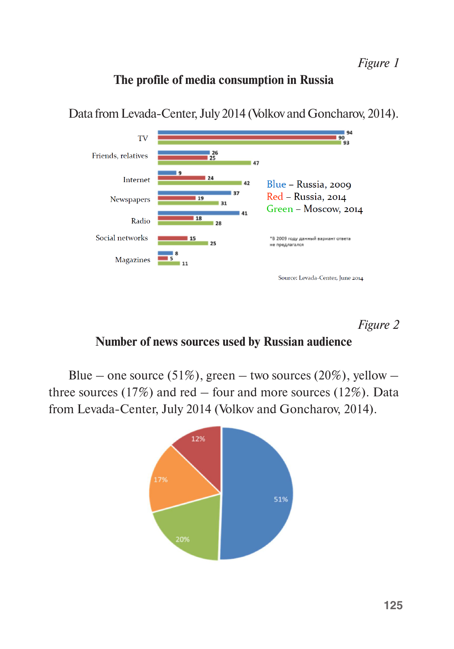#### **The profile of media consumption in Russia**



Data from Levada-Center, July 2014 (Volkov and Goncharov, 2014).

*Figure 2* 

#### **Number of news sources used by Russian audience**

Blue – one source (51%), green – two sources (20%), yellow – three sources  $(17%)$  and red – four and more sources  $(12%)$ . Data from Levada-Center, July 2014 (Volkov and Goncharov, 2014).

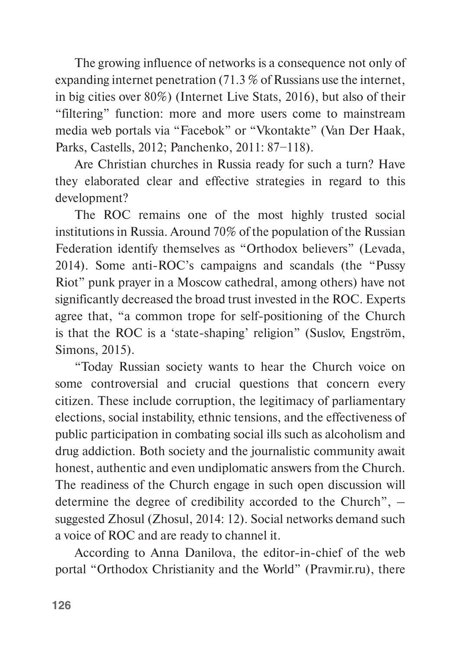The growing influence of networks is a consequence not only of expanding internet penetration (71.3 % of Russians use the internet, in big cities over 80%) (Internet Live Stats, 2016), but also of their "filtering" function: more and more users come to mainstream media web portals via "Facebok" or "Vkontakte" (Van Der Haak, Parks, Castells, 2012; Panchenko, 2011: 87−118).

Are Christian churches in Russia ready for such a turn? Have they elaborated clear and effective strategies in regard to this development?

The ROC remains one of the most highly trusted social institutions in Russia. Around 70% of the population of the Russian Federation identify themselves as "Orthodox believers" (Levada, 2014). Some anti-ROC's campaigns and scandals (the "Pussy Riot" punk prayer in a Moscow cathedral, among others) have not significantly decreased the broad trust invested in the ROC. Experts agree that, "a common trope for self-positioning of the Church is that the ROC is a 'state-shaping' religion" (Suslov, Engström, Simons, 2015).

"Today Russian society wants to hear the Church voice on some controversial and crucial questions that concern every citizen. These include corruption, the legitimacy of parliamentary elections, social instability, ethnic tensions, and the effectiveness of public participation in combating social ills such as alcoholism and drug addiction. Both society and the journalistic community await honest, authentic and even undiplomatic answers from the Church. The readiness of the Church engage in such open discussion will determine the degree of credibility accorded to the Church", – suggested Zhosul (Zhosul, 2014: 12). Social networks demand such a voice of ROC and are ready to channel it.

According to Anna Danilova, the editor-in-chief of the web portal "Orthodox Christianity and the World" (Pravmir.ru), there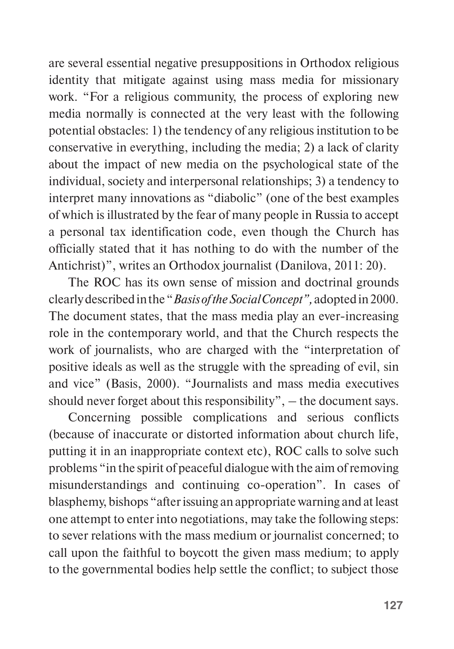are several essential negative presuppositions in Orthodox religious identity that mitigate against using mass media for missionary work. "For a religious community, the process of exploring new media normally is connected at the very least with the following potential obstacles: 1) the tendency of any religious institution to be conservative in everything, including the media; 2) a lack of clarity about the impact of new media on the psychological state of the individual, society and interpersonal relationships; 3) a tendency to interpret many innovations as "diabolic" (one of the best examples of which is illustrated by the fear of many people in Russia to accept a personal tax identification code, even though the Church has officially stated that it has nothing to do with the number of the Antichrist)", writes an Orthodox journalist (Danilova, 2011: 20).

The ROC has its own sense of mission and doctrinal grounds clearly described in the "*Basis of the Social Concept",* adopted in 2000. The document states, that the mass media play an ever-increasing role in the contemporary world, and that the Church respects the work of journalists, who are charged with the "interpretation of positive ideals as well as the struggle with the spreading of evil, sin and vice" (Basis, 2000). "Journalists and mass media executives should never forget about this responsibility", – the document says.

Concerning possible complications and serious conflicts (because of inaccurate or distorted information about church life, putting it in an inappropriate context etc), ROC calls to solve such problems "in the spirit of peaceful dialogue with the aim of removing misunderstandings and continuing co-operation". In cases of blasphemy, bishops "after issuing an appropriate warning and at least one attempt to enter into negotiations, may take the following steps: to sever relations with the mass medium or journalist concerned; to call upon the faithful to boycott the given mass medium; to apply to the governmental bodies help settle the conflict; to subject those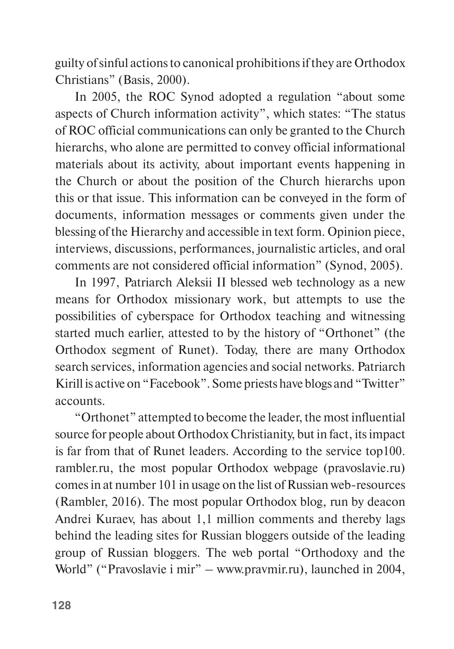guilty of sinful actions to canonical prohibitions if they are Orthodox Christians" (Basis, 2000).

In 2005, the ROC Synod adopted a regulation "about some aspects of Church information activity", which states: "The status of ROC official communications can only be granted to the Church hierarchs, who alone are permitted to convey official informational materials about its activity, about important events happening in the Church or about the position of the Church hierarchs upon this or that issue. This information can be conveyed in the form of documents, information messages or comments given under the blessing of the Hierarchy and accessible in text form. Opinion piece, interviews, discussions, performances, journalistic articles, and oral comments are not considered official information" (Synod, 2005).

In 1997, Patriarch Aleksii II blessed web technology as a new means for Orthodox missionary work, but attempts to use the possibilities of cyberspace for Orthodox teaching and witnessing started much earlier, attested to by the history of "Orthonet" (the Orthodox segment of Runet). Today, there are many Orthodox search services, information agencies and social networks. Patriarch Kirill is active on "Facebook". Some priests have blogs and "Twitter" accounts.

"Orthonet" attempted to become the leader, the most influential source for people about Orthodox Christianity, but in fact, its impact is far from that of Runet leaders. According to the service top100. rambler.ru, the most popular Orthodox webpage (pravoslavie.ru) comes in at number 101 in usage on the list of Russian web-resources (Rambler, 2016). The most popular Orthodox blog, run by deacon Andrei Kuraev, has about 1,1 million comments and thereby lags behind the leading sites for Russian bloggers outside of the leading group of Russian bloggers. The web portal "Orthodoxy and the World" ("Pravoslavie i mir" – www.pravmir.ru), launched in 2004,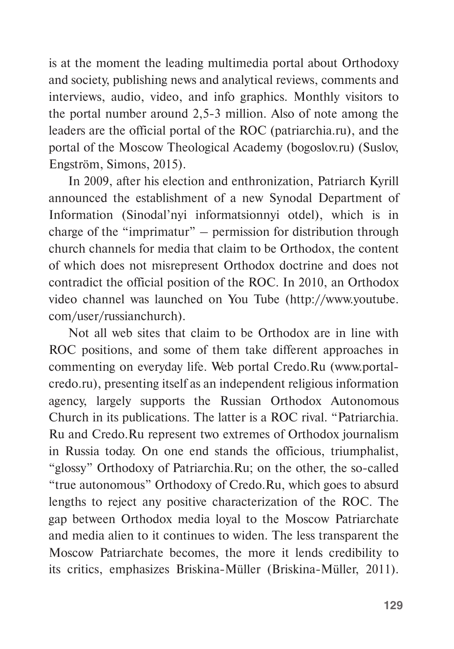is at the moment the leading multimedia portal about Orthodoxy and society, publishing news and analytical reviews, comments and interviews, audio, video, and info graphics. Monthly visitors to the portal number around 2,5-3 million. Also of note among the leaders are the official portal of the ROC (patriarchia.ru), and the portal of the Moscow Theological Academy (bogoslov.ru) (Suslov, Engström, Simons, 2015).

In 2009, after his election and enthronization, Patriarch Kyrill announced the establishment of a new Synodal Department of Information (Sinodal'nyi informatsionnyi otdel), which is in charge of the "imprimatur" – permission for distribution through church channels for media that claim to be Orthodox, the content of which does not misrepresent Orthodox doctrine and does not contradict the official position of the ROC. In 2010, an Orthodox video channel was launched on You Tube [\(http://www.youtube.](http://www.youtube.com/user/russianchurch) [com/user/russianchurch](http://www.youtube.com/user/russianchurch)).

Not all web sites that claim to be Orthodox are in line with ROC positions, and some of them take different approaches in commenting on everyday life. Web portal Credo.Ru (www.portalcredo.ru), presenting itself as an independent religious information agency, largely supports the Russian Orthodox Autonomous Church in its publications. The latter is a ROC rival. "Patriarchia. Ru and Credo.Ru represent two extremes of Orthodox journalism in Russia today. On one end stands the officious, triumphalist, "glossy" Orthodoxy of Patriarchia.Ru; on the other, the so-called "true autonomous" Orthodoxy of Credo.Ru, which goes to absurd lengths to reject any positive characterization of the ROC. The gap between Orthodox media loyal to the Moscow Patriarchate and media alien to it continues to widen. The less transparent the Moscow Patriarchate becomes, the more it lends credibility to its critics, emphasizes Briskina-Müller (Briskina-Müller, 2011).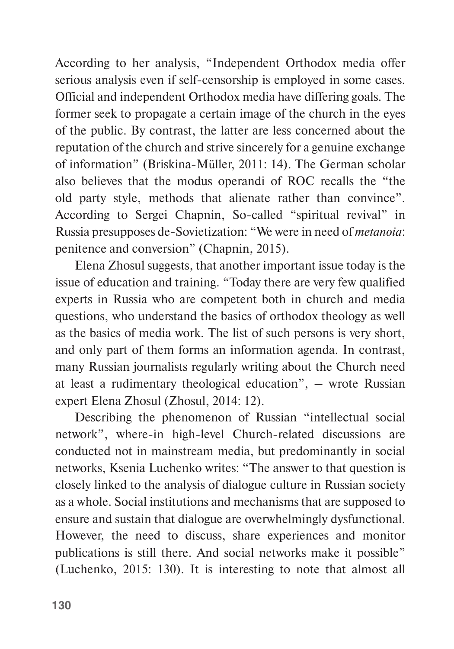According to her analysis, "Independent Orthodox media offer serious analysis even if self-censorship is employed in some cases. Official and independent Orthodox media have differing goals. The former seek to propagate a certain image of the church in the eyes of the public. By contrast, the latter are less concerned about the reputation of the church and strive sincerely for a genuine exchange of information" (Briskina-Müller, 2011: 14). The German scholar also believes that the modus operandi of ROC recalls the "the old party style, methods that alienate rather than convince". According to Sergei Chapnin, So-called "spiritual revival" in Russia presupposes de-Sovietization: "We were in need of *metanoia*: penitence and conversion" (Chapnin, 2015).

Elena Zhosul suggests, that another important issue today is the issue of education and training. "Today there are very few qualified experts in Russia who are competent both in church and media questions, who understand the basics of orthodox theology as well as the basics of media work. The list of such persons is very short, and only part of them forms an information agenda. In contrast, many Russian journalists regularly writing about the Church need at least a rudimentary theological education", – wrote Russian expert Elena Zhosul (Zhosul, 2014: 12).

Describing the phenomenon of Russian "intellectual social network", where-in high-level Church-related discussions are conducted not in mainstream media, but predominantly in social networks, Ksenia Luchenko writes: "The answer to that question is closely linked to the analysis of dialogue culture in Russian society as a whole. Social institutions and mechanisms that are supposed to ensure and sustain that dialogue are overwhelmingly dysfunctional. However, the need to discuss, share experiences and monitor publications is still there. And social networks make it possible" (Luchenko, 2015: 130). It is interesting to note that almost all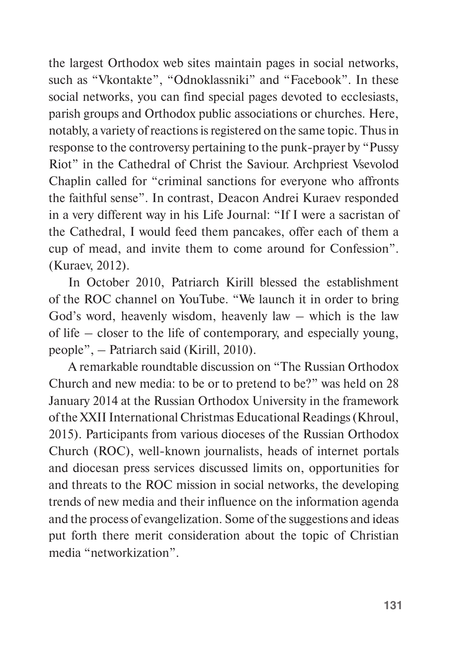the largest Orthodox web sites maintain pages in social networks, such as "Vkontakte", "Odnoklassniki" and "Facebook". In these social networks, you can find special pages devoted to ecclesiasts, parish groups and Orthodox public associations or churches. Here, notably, a variety of reactions is registered on the same topic. Thus in response to the controversy pertaining to the punk-prayer by "Pussy Riot" in the Cathedral of Christ the Saviour. Archpriest Vsevolod Chaplin called for "criminal sanctions for everyone who affronts the faithful sense". In contrast, Deacon Andrei Kuraev responded in a very different way in his Life Journal: "If I were a sacristan of the Cathedral, I would feed them pancakes, offer each of them a cup of mead, and invite them to come around for Confession". (Kuraev, 2012).

In October 2010, Patriarch Kirill blessed the establishment of the ROC channel on YouTube. "We launch it in order to bring God's word, heavenly wisdom, heavenly law – which is the law of life – closer to the life of contemporary, and especially young, people", – Patriarch said (Kirill, 2010).

A remarkable roundtable discussion on "The Russian Orthodox Church and new media: to be or to pretend to be?" was held on 28 January 2014 at the Russian Orthodox University in the framework of the XXII International Christmas Educational Readings (Khroul, 2015). Participants from various dioceses of the Russian Orthodox Church (ROC), well-known journalists, heads of internet portals and diocesan press services discussed limits on, opportunities for and threats to the ROC mission in social networks, the developing trends of new media and their influence on the information agenda and the process of evangelization. Some of the suggestions and ideas put forth there merit consideration about the topic of Christian media "networkization".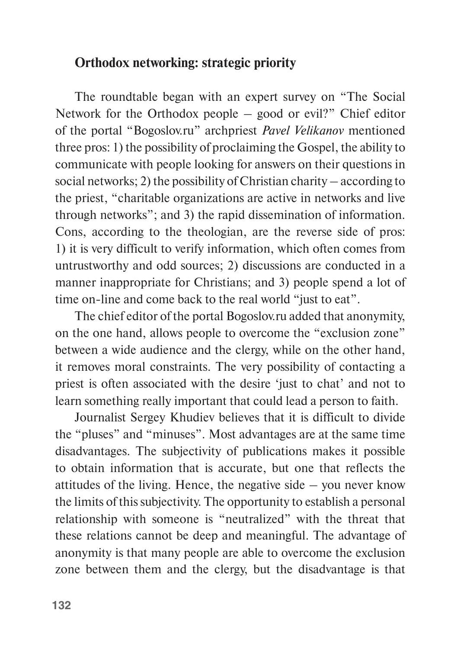### **Orthodox networking: strategic priority**

The roundtable began with an expert survey on "The Social Network for the Orthodox people – good or evil?" Chief editor of the portal "Bogoslov.ru" archpriest *Pavel Velikanov* mentioned three pros: 1) the possibility of proclaiming the Gospel, the ability to communicate with people looking for answers on their questions in social networks; 2) the possibility of Christian charity – according to the priest, "charitable organizations are active in networks and live through networks"; and 3) the rapid dissemination of information. Cons, according to the theologian, are the reverse side of pros: 1) it is very difficult to verify information, which often comes from untrustworthy and odd sources; 2) discussions are conducted in a manner inappropriate for Christians; and 3) people spend a lot of time on-line and come back to the real world "just to eat".

The chief editor of the portal Bogoslov.ru added that anonymity, on the one hand, allows people to overcome the "exclusion zone" between a wide audience and the clergy, while on the other hand, it removes moral constraints. The very possibility of contacting a priest is often associated with the desire 'just to chat' and not to learn something really important that could lead a person to faith.

Journalist Sergey Khudiev believes that it is difficult to divide the "pluses" and "minuses". Most advantages are at the same time disadvantages. The subjectivity of publications makes it possible to obtain information that is accurate, but one that reflects the attitudes of the living. Hence, the negative side  $-$  you never know the limits of this subjectivity. The opportunity to establish a personal relationship with someone is "neutralized" with the threat that these relations cannot be deep and meaningful. The advantage of anonymity is that many people are able to overcome the exclusion zone between them and the clergy, but the disadvantage is that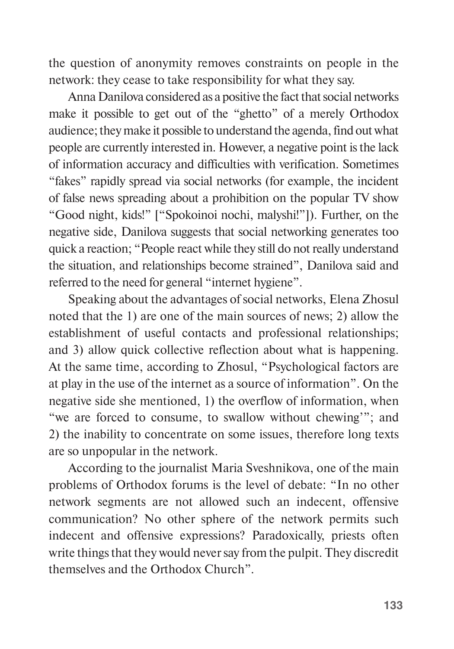the question of anonymity removes constraints on people in the network: they cease to take responsibility for what they say.

Anna Danilova considered as a positive the fact that social networks make it possible to get out of the "ghetto" of a merely Orthodox audience; they make it possible to understand the agenda, find out what people are currently interested in. However, a negative point is the lack of information accuracy and difficulties with verification. Sometimes "fakes" rapidly spread via social networks (for example, the incident of false news spreading about a prohibition on the popular TV show "Good night, kids!" ["Spokoinoi nochi, malyshi!"]). Further, on the negative side, Danilova suggests that social networking generates too quick a reaction; "People react while they still do not really understand the situation, and relationships become strained", Danilova said and referred to the need for general "internet hygiene".

Speaking about the advantages of social networks, Elena Zhosul noted that the 1) are one of the main sources of news; 2) allow the establishment of useful contacts and professional relationships; and 3) allow quick collective reflection about what is happening. At the same time, according to Zhosul, "Psychological factors are at play in the use of the internet as a source of information". On the negative side she mentioned, 1) the overflow of information, when "we are forced to consume, to swallow without chewing'"; and 2) the inability to concentrate on some issues, therefore long texts are so unpopular in the network.

According to the journalist Maria Sveshnikova, one of the main problems of Orthodox forums is the level of debate: "In no other network segments are not allowed such an indecent, offensive communication? No other sphere of the network permits such indecent and offensive expressions? Paradoxically, priests often write things that they would never say from the pulpit. They discredit themselves and the Orthodox Church"*.*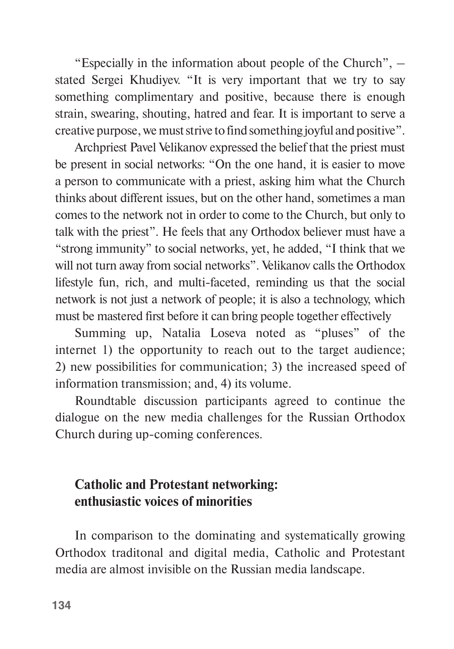"Especially in the information about people of the Church", – stated Sergei Khudiyev. "It is very important that we try to say something complimentary and positive, because there is enough strain, swearing, shouting, hatred and fear. It is important to serve a creative purpose, we must strive to find something joyful and positive".

Archpriest Pavel Velikanov expressed the belief that the priest must be present in social networks: "On the one hand, it is easier to move a person to communicate with a priest, asking him what the Church thinks about different issues, but on the other hand, sometimes a man comes to the network not in order to come to the Church, but only to talk with the priest". He feels that any Orthodox believer must have a "strong immunity" to social networks, yet, he added, "I think that we will not turn away from social networks". Velikanov calls the Orthodox lifestyle fun, rich, and multi-faceted, reminding us that the social network is not just a network of people; it is also a technology, which must be mastered first before it can bring people together effectively

Summing up, Natalia Loseva noted as "pluses" of the internet 1) the opportunity to reach out to the target audience; 2) new possibilities for communication; 3) the increased speed of information transmission; and, 4) its volume.

Roundtable discussion participants agreed to continue the dialogue on the new media challenges for the Russian Orthodox Church during up-coming conferences.

# **Catholic and Protestant networking: enthusiastic voices of minorities**

In comparison to the dominating and systematically growing Orthodox traditonal and digital media, Catholic and Protestant media are almost invisible on the Russian media landscape.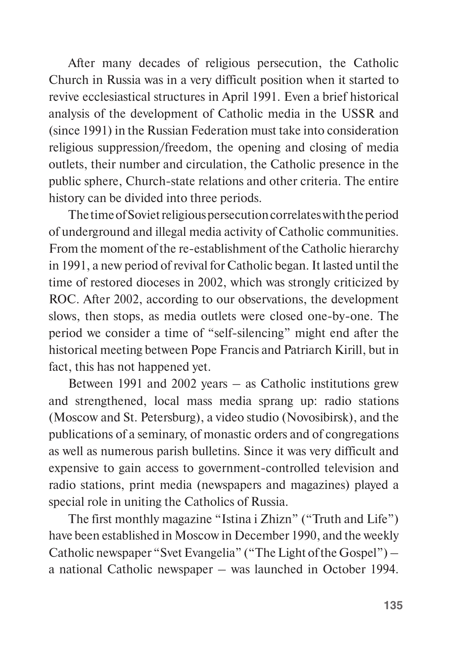After many decades of religious persecution, the Catholic Church in Russia was in a very difficult position when it started to revive ecclesiastical structures in April 1991. Even a brief historical analysis of the development of Catholic media in the USSR and (since 1991) in the Russian Federation must take into consideration religious suppression/freedom, the opening and closing of media outlets, their number and circulation, the Catholic presence in the public sphere, Church-state relations and other criteria. The entire history can be divided into three periods.

The time of Soviet religious persecution correlates with the period of underground and illegal media activity of Catholic communities. From the moment of the re-establishment of the Catholic hierarchy in 1991, a new period of revival for Catholic began. It lasted until the time of restored dioceses in 2002, which was strongly criticized by ROC. After 2002, according to our observations, the development slows, then stops, as media outlets were closed one-by-one. The period we consider a time of "self-silencing" might end after the historical meeting between Pope Francis and Patriarch Kirill, but in fact, this has not happened yet.

Between 1991 and 2002 years – as Catholic institutions grew and strengthened, local mass media sprang up: radio stations (Moscow and St. Petersburg), a video studio (Novosibirsk), and the publications of a seminary, of monastic orders and of congregations as well as numerous parish bulletins. Since it was very difficult and expensive to gain access to government-controlled television and radio stations, print media (newspapers and magazines) played a special role in uniting the Catholics of Russia.

The first monthly magazine "Istina i Zhizn" ("Truth and Life") have been established in Moscow in December 1990, and the weekly Catholic newspaper "Svet Evangelia" ("The Light of the Gospel") – a national Catholic newspaper – was launched in October 1994.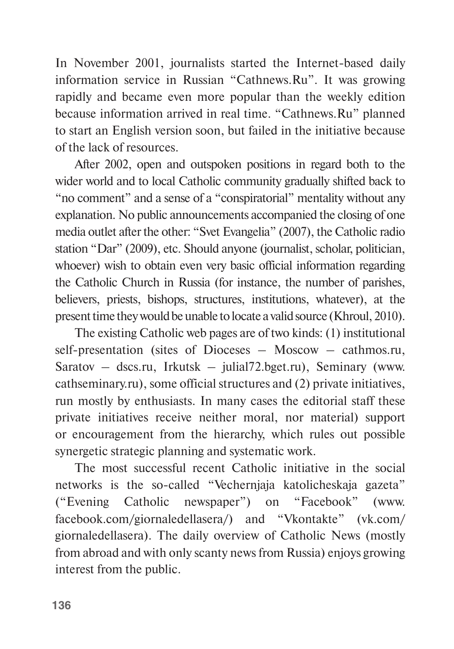In November 2001, journalists started the Internet-based daily information service in Russian "Cathnews.Ru". It was growing rapidly and became even more popular than the weekly edition because information arrived in real time. "Cathnews.Ru" planned to start an English version soon, but failed in the initiative because of the lack of resources.

After 2002, open and outspoken positions in regard both to the wider world and to local Catholic community gradually shifted back to "no comment" and a sense of a "conspiratorial" mentality without any explanation. No public announcements accompanied the closing of one media outlet after the other: "Svet Evangelia" (2007), the Catholic radio station "Dar" (2009), etc. Should anyone (journalist, scholar, politician, whoever) wish to obtain even very basic official information regarding the Catholic Church in Russia (for instance, the number of parishes, believers, priests, bishops, structures, institutions, whatever), at the present time they would be unable to locate a valid source (Khroul, 2010).

The existing Catholic web pages are of two kinds: (1) institutional self-presentation (sites of Dioceses – Moscow – cathmos.ru, Saratov – dscs.ru, Irkutsk – julial72.bget.ru), Seminary (www. cathseminary.ru), some official structures and (2) private initiatives, run mostly by enthusiasts. In many cases the editorial staff these private initiatives receive neither moral, nor material) support or encouragement from the hierarchy, which rules out possible synergetic strategic planning and systematic work.

The most successful recent Catholic initiative in the social networks is the so-called "Vechernjaja katolicheskaja gazeta" ("Evening Catholic newspaper") on "Facebook" (www. facebook.com/giornaledellasera/) and "Vkontakte" (vk.com/ giornaledellasera). The daily overview of Catholic News (mostly from abroad and with only scanty news from Russia) enjoys growing interest from the public.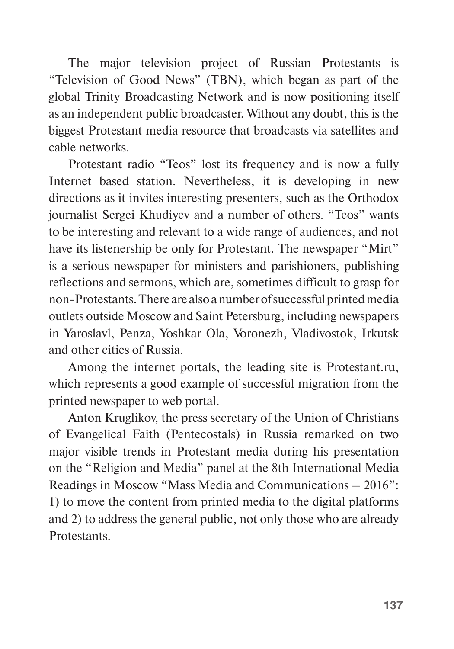The major television project of Russian Protestants is "Television of Good News" (TBN), which began as part of the global Trinity Broadcasting Network and is now positioning itself as an independent public broadcaster. Without any doubt, this is the biggest Protestant media resource that broadcasts via satellites and cable networks.

Protestant radio "Teos" lost its frequency and is now a fully Internet based station. Nevertheless, it is developing in new directions as it invites interesting presenters, such as the Orthodox journalist Sergei Khudiyev and a number of others. "Teos" wants to be interesting and relevant to a wide range of audiences, and not have its listenership be only for Protestant. The newspaper "Mirt" is a serious newspaper for ministers and parishioners, publishing reflections and sermons, which are, sometimes difficult to grasp for non-Protestants. There are also a number of successful printed media outlets outside Moscow and Saint Petersburg, including newspapers in Yaroslavl, Penza, Yoshkar Ola, Voronezh, Vladivostok, Irkutsk and other cities of Russia.

Among the internet portals, the leading site is Protestant.ru, which represents a good example of successful migration from the printed newspaper to web portal.

Anton Kruglikov, the press secretary of the Union of Christians of Evangelical Faith (Pentecostals) in Russia remarked on two major visible trends in Protestant media during his presentation on the "Religion and Media" panel at the 8th International Media Readings in Moscow "Mass Media and Communications – 2016": 1) to move the content from printed media to the digital platforms and 2) to address the general public, not only those who are already Protestants.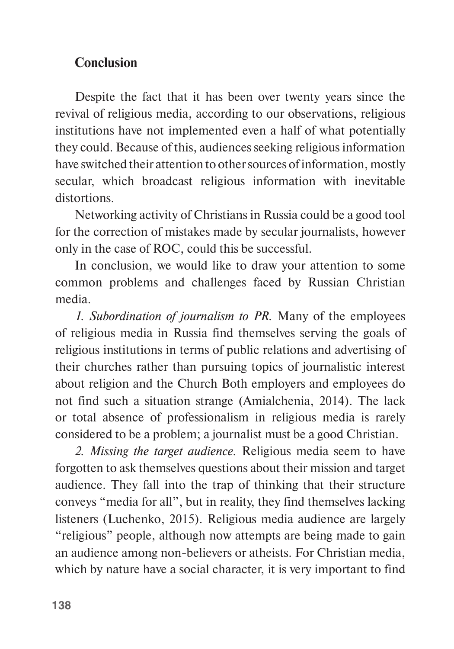## **Conclusion**

Despite the fact that it has been over twenty years since the revival of religious media, according to our observations, religious institutions have not implemented even a half of what potentially they could. Because of this, audiences seeking religious information have switched their attention to other sources of information, mostly secular, which broadcast religious information with inevitable distortions.

Networking activity of Christians in Russia could be a good tool for the correction of mistakes made by secular journalists, however only in the case of ROC, could this be successful.

In conclusion, we would like to draw your attention to some common problems and challenges faced by Russian Christian media.

*1. Subordination of journalism to PR.* Many of the employees of religious media in Russia find themselves serving the goals of religious institutions in terms of public relations and advertising of their churches rather than pursuing topics of journalistic interest about religion and the Church Both employers and employees do not find such a situation strange (Amialchenia, 2014). The lack or total absence of professionalism in religious media is rarely considered to be a problem; a journalist must be a good Christian.

*2. Missing the target audience.* Religious media seem to have forgotten to ask themselves questions about their mission and target audience. They fall into the trap of thinking that their structure conveys "media for all", but in reality, they find themselves lacking listeners (Luchenko, 2015). Religious media audience are largely "religious" people, although now attempts are being made to gain an audience among non-believers or atheists. For Christian media, which by nature have a social character, it is very important to find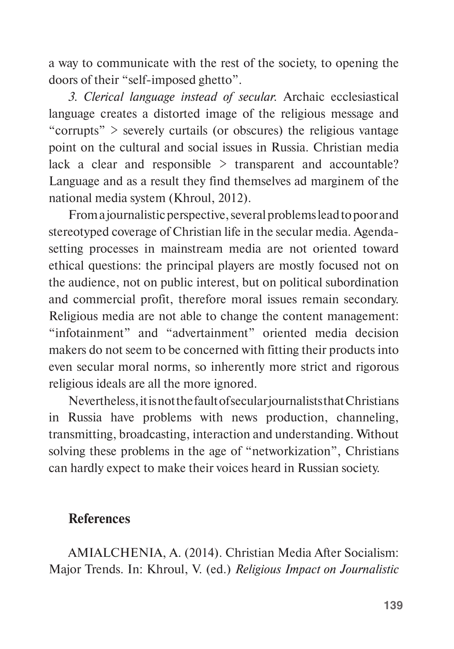a way to communicate with the rest of the society, to opening the doors of their "self-imposed ghetto".

*3. Clerical language instead of secular.* Archaic ecclesiastical language creates a distorted image of the religious message and "corrupts"  $>$  severely curtails (or obscures) the religious vantage point on the cultural and social issues in Russia. Christian media lack a clear and responsible > transparent and accountable? Language and as a result they find themselves ad marginem of the national media system (Khroul, 2012).

From a journalistic perspective, several problems lead to poor and stereotyped coverage of Christian life in the secular media. Agendasetting processes in mainstream media are not oriented toward ethical questions: the principal players are mostly focused not on the audience, not on public interest, but on political subordination and commercial profit, therefore moral issues remain secondary. Religious media are not able to change the content management: "infotainment" and "advertainment" oriented media decision makers do not seem to be concerned with fitting their products into even secular moral norms, so inherently more strict and rigorous religious ideals are all the more ignored.

Nevertheless, it is not the fault of secular journalists that Christians in Russia have problems with news production, channeling, transmitting, broadcasting, interaction and understanding. Without solving these problems in the age of "networkization", Christians can hardly expect to make their voices heard in Russian society.

## **References**

AMIALCHENIA, A. (2014). Christian Media After Socialism: Major Trends. In: Khroul, V. (ed.) *Religious Impact on Journalistic*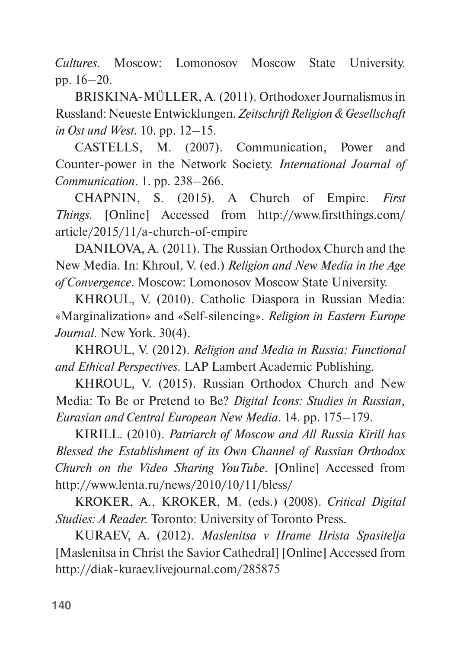*Cultures*. Moscow: Lomonosov Moscow State University. pp. 16–20.

BRISKINA-MÜLLER, A. (2011). Orthodoxer Journalismus in Russland: Neueste Entwicklungen. *Zeitschrift Religion & Gesellschaft in Ost und West.* 10. pp. 12–15.

CASTELLS, M. (2007). Communication, Power and Counter-power in the Network Society. *International Journal of Communication*. 1. pp. 238–266.

CHAPNIN, S. (2015). A Church of Empire. *First Things.* [Online] Accessed from http://www.firstthings.com/ article/2015/11/a-church-of-empire

DANILOVA, A. (2011). The Russian Orthodox Church and the New Media. In: Khroul, V. (ed.) *Religion and New Media in the Age of Convergence*. Moscow: Lomonosov Moscow State University.

KHROUL, V. (2010). Catholic Diaspora in Russian Media: «Marginalization» and «Self-silencing». *Religion in Eastern Europe Journal.* New York. 30(4).

KHROUL, V. (2012). *Religion and Media in Russia: Functional and Ethical Perspectives.* LAP Lambert Academic Publishing.

KHROUL, V. (2015). Russian Orthodox Church and New Media: To Be or Pretend to Be? *Digital Icons: Studies in Russian, Eurasian and Central European New Media*. 14. pp. 175–179.

KIRILL. (2010). *Patriarch of Moscow and All Russia Kirill has Blessed the Establishment of its Own Channel of Russian Orthodox Church on the Video Sharing YouTube.* [Online] Accessed from http://www.lenta.ru/news/2010/10/11/bless/

KROKER, A., KROKER, M. (eds.) (2008). *Critical Digital Studies: A Reader.* Toronto: University of Toronto Press.

KURAEV, A. (2012). *Maslеnitsa v Hrame Hrista Spasitelja* [Maslеnitsa in Christ the Savior Cathedral] [Online] Accessed from http://diak-kuraev.livejournal.com/285875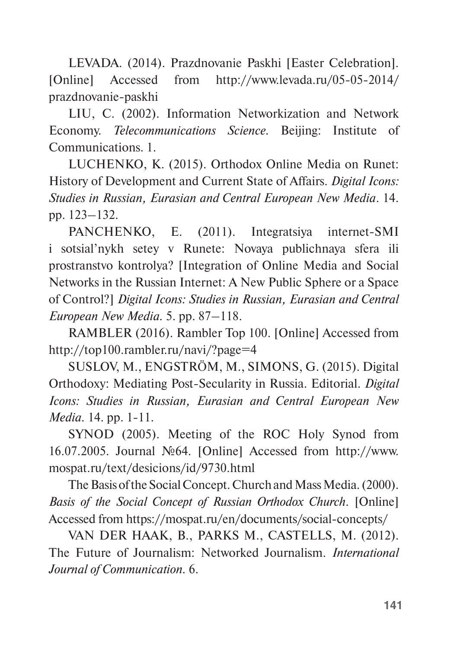LEVADA. (2014). Prazdnovanie Paskhi [Easter Celebration]. [Online] Accessed from http://www.levada.ru/05-05-2014/ prazdnovanie-paskhi

LIU, C. (2002). Information Networkization and Network Economy. *Telecommunications Science.* Beijing: Institute of Communications. 1.

LUCHENKO, K. (2015). Orthodox Online Media on Runet: History of Development and Current State of Affairs. *Digital Icons: Studies in Russian, Eurasian and Central European New Media*. 14. pp. 123–132.

PANCHENKO, E. (2011). Integratsiya internet-SMI i sotsial'nykh setey v Runete: Novaya publichnaya sfera ili prostranstvo kontrolya? [Integration of Online Media and Social Networks in the Russian Internet: A New Public Sphere or a Space of Control?] *Digital Icons: Studies in Russian, Eurasian and Central European New Media.* 5. pp. 87–118.

RAMBLER (2016). Rambler Top 100. [Online] Accessed from http://top100.rambler.ru/navi/?page=4

SUSLOV, M., ENGSTRÖM, M., SIMONS, G. (2015). Digital Orthodoxy: Mediating Post-Secularity in Russia. Editorial. *Digital Icons: Studies in Russian, Eurasian and Central European New Media.* 14. pp. 1-11.

SYNOD (2005). Meeting of the ROC Holy Synod from 16.07.2005. Journal №64. [Online] Accessed from http://www. mospat.ru/text/desicions/id/9730.html

The Basis of the Social Concept. Church and Mass Media. (2000). *Basis of the Social Concept of Russian Orthodox Church*. [Online] Accessed from https://mospat.ru/en/documents/social-concepts/

VAN DER HAAK, B., PARKS M., CASTELLS, M. (2012). The Future of Journalism: Networked Journalism. *International Journal of Communication.* 6.